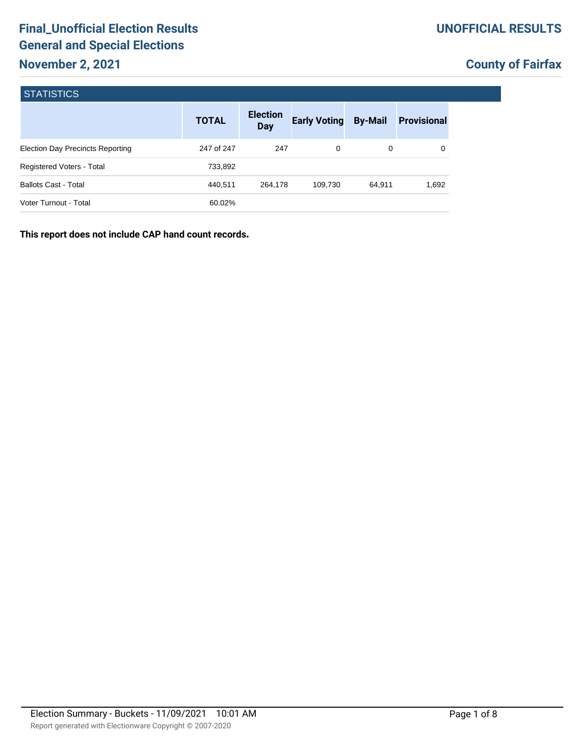| <b>STATISTICS</b>                       |              |                        |                     |                |                    |  |  |  |  |
|-----------------------------------------|--------------|------------------------|---------------------|----------------|--------------------|--|--|--|--|
|                                         | <b>TOTAL</b> | <b>Election</b><br>Day | <b>Early Voting</b> | <b>By-Mail</b> | <b>Provisional</b> |  |  |  |  |
| <b>Election Day Precincts Reporting</b> | 247 of 247   | 247                    | 0                   | 0              | 0                  |  |  |  |  |
| Registered Voters - Total               | 733,892      |                        |                     |                |                    |  |  |  |  |
| <b>Ballots Cast - Total</b>             | 440.511      | 264,178                | 109,730             | 64,911         | 1,692              |  |  |  |  |
| Voter Turnout - Total                   | 60.02%       |                        |                     |                |                    |  |  |  |  |

**This report does not include CAP hand count records.**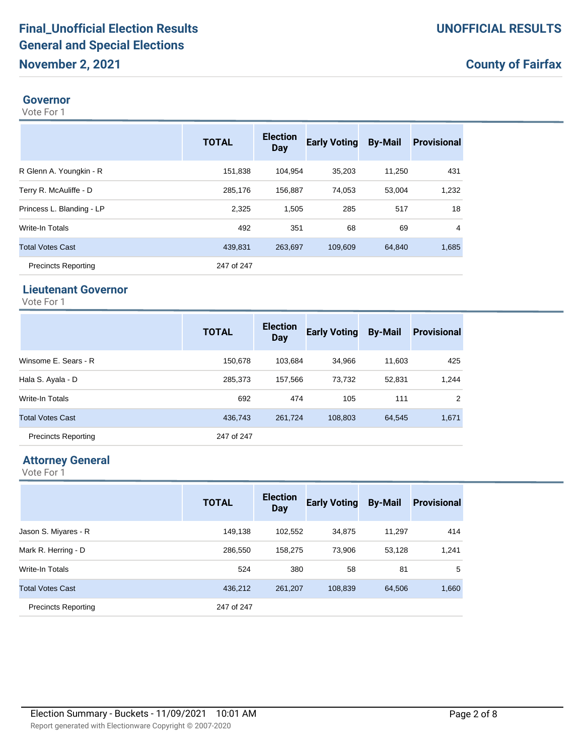#### **Governor**

Vote For 1

|                            | <b>TOTAL</b> | <b>Election</b><br>Day | <b>Early Voting</b> | <b>By-Mail</b> | <b>Provisional</b> |
|----------------------------|--------------|------------------------|---------------------|----------------|--------------------|
| R Glenn A. Youngkin - R    | 151,838      | 104.954                | 35,203              | 11,250         | 431                |
| Terry R. McAuliffe - D     | 285,176      | 156,887                | 74.053              | 53,004         | 1,232              |
| Princess L. Blanding - LP  | 2,325        | 1,505                  | 285                 | 517            | 18                 |
| <b>Write-In Totals</b>     | 492          | 351                    | 68                  | 69             | 4                  |
| <b>Total Votes Cast</b>    | 439,831      | 263.697                | 109,609             | 64,840         | 1,685              |
| <b>Precincts Reporting</b> | 247 of 247   |                        |                     |                |                    |

## **Lieutenant Governor**

Vote For 1

|                            | <b>TOTAL</b> | <b>Election</b><br><b>Day</b> | <b>Early Voting</b> | <b>By-Mail</b> | <b>Provisional</b> |
|----------------------------|--------------|-------------------------------|---------------------|----------------|--------------------|
| Winsome E. Sears - R       | 150.678      | 103.684                       | 34.966              | 11.603         | 425                |
| Hala S. Ayala - D          | 285,373      | 157.566                       | 73.732              | 52,831         | 1,244              |
| Write-In Totals            | 692          | 474                           | 105                 | 111            | 2                  |
| <b>Total Votes Cast</b>    | 436,743      | 261.724                       | 108,803             | 64,545         | 1,671              |
| <b>Precincts Reporting</b> | 247 of 247   |                               |                     |                |                    |

# **Attorney General**

|                            | <b>TOTAL</b> | <b>Election</b><br>Day | <b>Early Voting</b> | <b>By-Mail</b> | <b>Provisional</b> |
|----------------------------|--------------|------------------------|---------------------|----------------|--------------------|
| Jason S. Miyares - R       | 149.138      | 102.552                | 34.875              | 11.297         | 414                |
| Mark R. Herring - D        | 286,550      | 158.275                | 73.906              | 53.128         | 1,241              |
| <b>Write-In Totals</b>     | 524          | 380                    | 58                  | 81             | 5                  |
| <b>Total Votes Cast</b>    | 436,212      | 261,207                | 108,839             | 64,506         | 1,660              |
| <b>Precincts Reporting</b> | 247 of 247   |                        |                     |                |                    |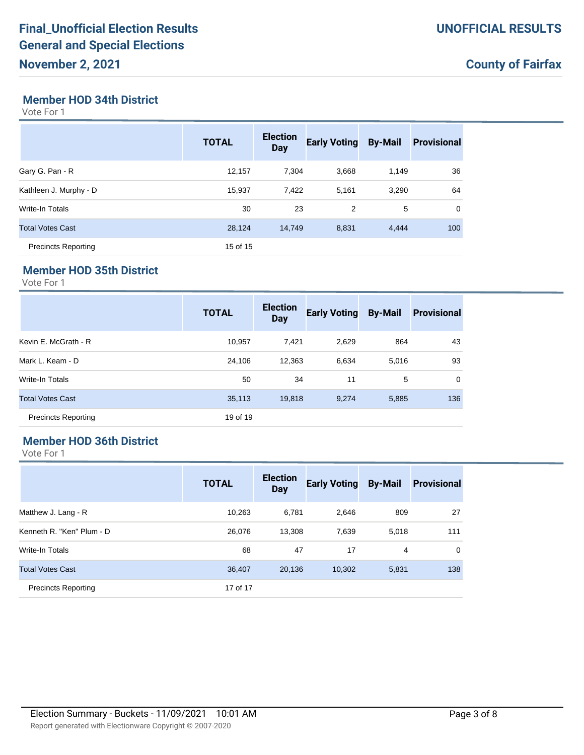#### **Member HOD 34th District**

Vote For 1

|                            | <b>TOTAL</b> | <b>Election</b><br><b>Day</b> | <b>Early Voting</b> | <b>By-Mail</b> | <b>Provisional</b> |
|----------------------------|--------------|-------------------------------|---------------------|----------------|--------------------|
| Gary G. Pan - R            | 12,157       | 7.304                         | 3.668               | 1.149          | 36                 |
| Kathleen J. Murphy - D     | 15,937       | 7,422                         | 5,161               | 3,290          | 64                 |
| <b>Write-In Totals</b>     | 30           | 23                            | 2                   | 5              | $\Omega$           |
| <b>Total Votes Cast</b>    | 28.124       | 14.749                        | 8,831               | 4,444          | 100                |
| <b>Precincts Reporting</b> | 15 of 15     |                               |                     |                |                    |

#### **Member HOD 35th District**

Vote For 1

|                            | <b>TOTAL</b> | <b>Election</b><br><b>Day</b> | <b>Early Voting</b> | <b>By-Mail</b> | <b>Provisional</b> |
|----------------------------|--------------|-------------------------------|---------------------|----------------|--------------------|
| Kevin E. McGrath - R       | 10,957       | 7,421                         | 2,629               | 864            | 43                 |
| Mark L. Keam - D           | 24.106       | 12,363                        | 6,634               | 5,016          | 93                 |
| <b>Write-In Totals</b>     | 50           | 34                            | 11                  | 5              | $\mathbf 0$        |
| <b>Total Votes Cast</b>    | 35,113       | 19,818                        | 9,274               | 5,885          | 136                |
| <b>Precincts Reporting</b> | 19 of 19     |                               |                     |                |                    |

## **Member HOD 36th District**

|                            | <b>TOTAL</b> | <b>Election</b><br><b>Day</b> | <b>Early Voting</b> | <b>By-Mail</b> | <b>Provisional</b> |
|----------------------------|--------------|-------------------------------|---------------------|----------------|--------------------|
| Matthew J. Lang - R        | 10,263       | 6,781                         | 2,646               | 809            | 27                 |
| Kenneth R. "Ken" Plum - D  | 26,076       | 13,308                        | 7,639               | 5,018          | 111                |
| <b>Write-In Totals</b>     | 68           | 47                            | 17                  | 4              | 0                  |
| <b>Total Votes Cast</b>    | 36,407       | 20,136                        | 10,302              | 5,831          | 138                |
| <b>Precincts Reporting</b> | 17 of 17     |                               |                     |                |                    |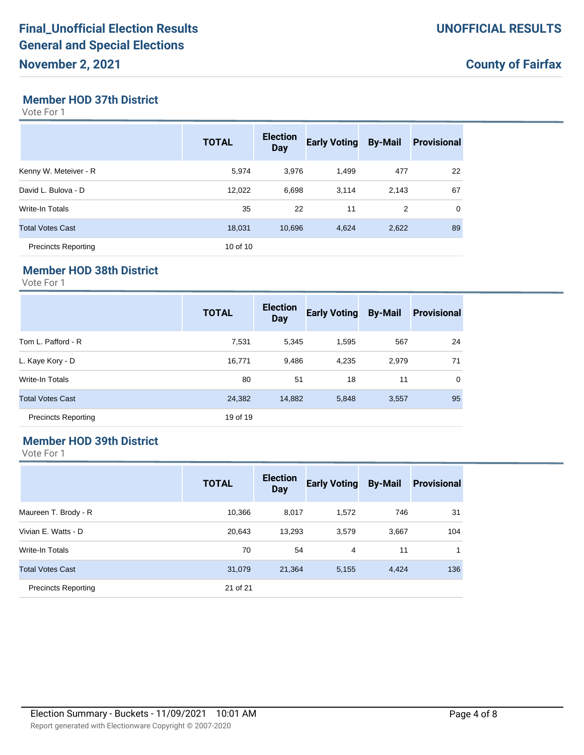### **Member HOD 37th District**

Vote For 1

|                            | <b>TOTAL</b> | <b>Election</b><br><b>Day</b> | <b>Early Voting</b> | <b>By-Mail</b> | <b>Provisional</b> |
|----------------------------|--------------|-------------------------------|---------------------|----------------|--------------------|
| Kenny W. Meteiver - R      | 5,974        | 3,976                         | 1,499               | 477            | 22                 |
| David L. Bulova - D        | 12,022       | 6,698                         | 3,114               | 2,143          | 67                 |
| Write-In Totals            | 35           | 22                            | 11                  | 2              | $\mathbf 0$        |
| <b>Total Votes Cast</b>    | 18,031       | 10,696                        | 4,624               | 2,622          | 89                 |
| <b>Precincts Reporting</b> | 10 of 10     |                               |                     |                |                    |

#### **Member HOD 38th District**

Vote For 1

|                            | <b>TOTAL</b> | <b>Election</b><br><b>Day</b> | <b>Early Voting</b> | <b>By-Mail</b> | <b>Provisional</b> |
|----------------------------|--------------|-------------------------------|---------------------|----------------|--------------------|
| Tom L. Pafford - R         | 7,531        | 5.345                         | 1,595               | 567            | 24                 |
| L. Kaye Kory - D           | 16,771       | 9,486                         | 4,235               | 2,979          | 71                 |
| Write-In Totals            | 80           | 51                            | 18                  | 11             | $\mathbf 0$        |
| <b>Total Votes Cast</b>    | 24,382       | 14,882                        | 5,848               | 3,557          | 95                 |
| <b>Precincts Reporting</b> | 19 of 19     |                               |                     |                |                    |

### **Member HOD 39th District**

|                            | <b>TOTAL</b> | <b>Election</b><br><b>Day</b> | <b>Early Voting</b> | <b>By-Mail</b> | <b>Provisional</b> |
|----------------------------|--------------|-------------------------------|---------------------|----------------|--------------------|
| Maureen T. Brody - R       | 10,366       | 8,017                         | 1,572               | 746            | 31                 |
| Vivian E. Watts - D        | 20.643       | 13,293                        | 3,579               | 3,667          | 104                |
| <b>Write-In Totals</b>     | 70           | 54                            | 4                   | 11             |                    |
| <b>Total Votes Cast</b>    | 31,079       | 21,364                        | 5,155               | 4,424          | 136                |
| <b>Precincts Reporting</b> | 21 of 21     |                               |                     |                |                    |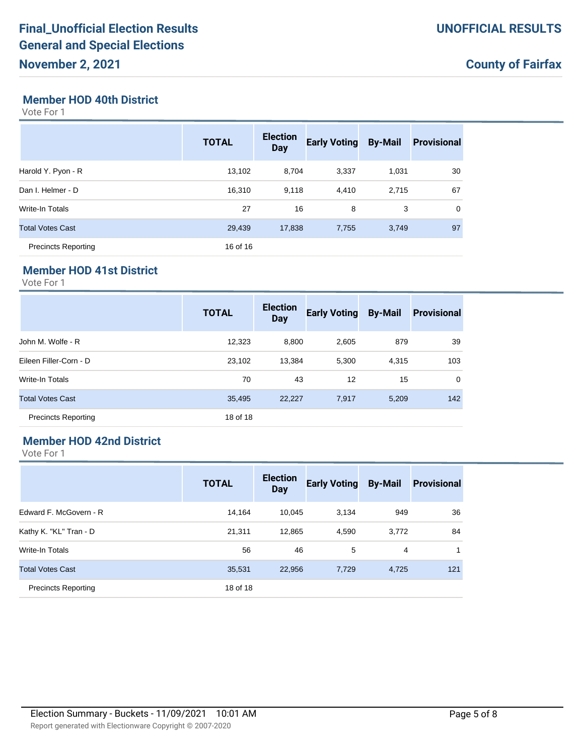#### **Member HOD 40th District**

Vote For 1

|                            | <b>TOTAL</b> | <b>Election</b><br><b>Day</b> | <b>Early Voting</b> | <b>By-Mail</b> | <b>Provisional</b> |
|----------------------------|--------------|-------------------------------|---------------------|----------------|--------------------|
| Harold Y. Pyon - R         | 13,102       | 8.704                         | 3,337               | 1,031          | 30                 |
| Dan I. Helmer - D          | 16,310       | 9,118                         | 4,410               | 2,715          | 67                 |
| Write-In Totals            | 27           | 16                            | 8                   | 3              | 0                  |
| <b>Total Votes Cast</b>    | 29,439       | 17,838                        | 7,755               | 3,749          | 97                 |
| <b>Precincts Reporting</b> | 16 of 16     |                               |                     |                |                    |

#### **Member HOD 41st District**

Vote For 1

|                            | <b>TOTAL</b> | <b>Election</b><br>Day | <b>Early Voting</b> | <b>By-Mail</b> | <b>Provisional</b> |
|----------------------------|--------------|------------------------|---------------------|----------------|--------------------|
| John M. Wolfe - R          | 12,323       | 8,800                  | 2,605               | 879            | 39                 |
| Eileen Filler-Corn - D     | 23,102       | 13,384                 | 5,300               | 4,315          | 103                |
| <b>Write-In Totals</b>     | 70           | 43                     | 12                  | 15             | $\mathbf 0$        |
| <b>Total Votes Cast</b>    | 35,495       | 22,227                 | 7,917               | 5,209          | 142                |
| <b>Precincts Reporting</b> | 18 of 18     |                        |                     |                |                    |

### **Member HOD 42nd District**

|                            | <b>TOTAL</b> | <b>Election</b><br><b>Day</b> | <b>Early Voting</b> | <b>By-Mail</b> | <b>Provisional</b> |
|----------------------------|--------------|-------------------------------|---------------------|----------------|--------------------|
| Edward F. McGovern - R     | 14.164       | 10,045                        | 3,134               | 949            | 36                 |
| Kathy K. "KL" Tran - D     | 21,311       | 12,865                        | 4,590               | 3,772          | 84                 |
| <b>Write-In Totals</b>     | 56           | 46                            | 5                   | 4              |                    |
| <b>Total Votes Cast</b>    | 35,531       | 22,956                        | 7,729               | 4,725          | 121                |
| <b>Precincts Reporting</b> | 18 of 18     |                               |                     |                |                    |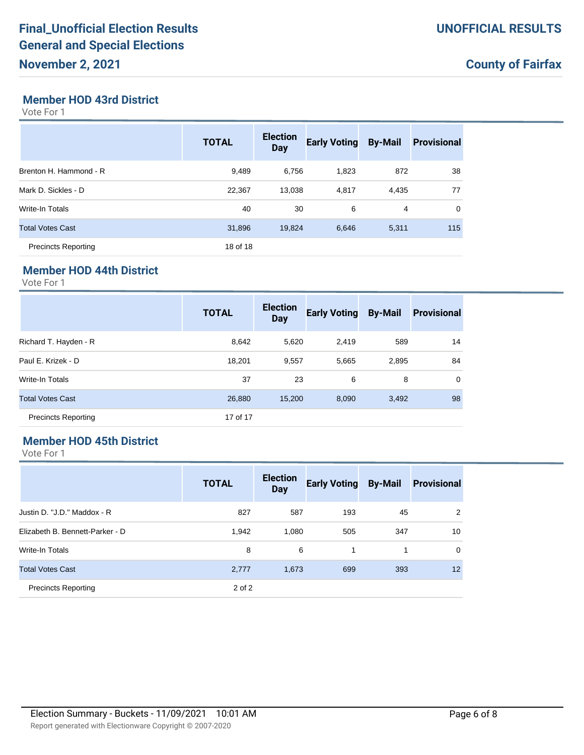#### **Member HOD 43rd District**

Vote For 1

|                            | <b>TOTAL</b> | <b>Election</b><br><b>Day</b> | <b>Early Voting</b> | <b>By-Mail</b> | <b>Provisional</b> |
|----------------------------|--------------|-------------------------------|---------------------|----------------|--------------------|
| Brenton H. Hammond - R     | 9,489        | 6,756                         | 1,823               | 872            | 38                 |
| Mark D. Sickles - D        | 22,367       | 13,038                        | 4,817               | 4,435          | 77                 |
| Write-In Totals            | 40           | 30                            | 6                   | 4              | $\mathbf 0$        |
| <b>Total Votes Cast</b>    | 31,896       | 19,824                        | 6,646               | 5,311          | 115                |
| <b>Precincts Reporting</b> | 18 of 18     |                               |                     |                |                    |

#### **Member HOD 44th District**

Vote For 1

|                            | <b>TOTAL</b> | <b>Election</b><br><b>Day</b> | <b>Early Voting</b> | <b>By-Mail</b> | <b>Provisional</b> |
|----------------------------|--------------|-------------------------------|---------------------|----------------|--------------------|
| Richard T. Hayden - R      | 8,642        | 5,620                         | 2,419               | 589            | 14                 |
| Paul E. Krizek - D         | 18,201       | 9,557                         | 5,665               | 2,895          | 84                 |
| <b>Write-In Totals</b>     | 37           | 23                            | 6                   | 8              | $\mathbf 0$        |
| <b>Total Votes Cast</b>    | 26,880       | 15,200                        | 8,090               | 3,492          | 98                 |
| <b>Precincts Reporting</b> | 17 of 17     |                               |                     |                |                    |

### **Member HOD 45th District**

|                                 | <b>TOTAL</b> | <b>Election</b><br><b>Day</b> | <b>Early Voting</b> | <b>By-Mail</b> | <b>Provisional</b> |
|---------------------------------|--------------|-------------------------------|---------------------|----------------|--------------------|
| Justin D. "J.D." Maddox - R     | 827          | 587                           | 193                 | 45             | 2                  |
| Elizabeth B. Bennett-Parker - D | 1,942        | 1.080                         | 505                 | 347            | 10                 |
| Write-In Totals                 | 8            | 6                             | 1                   | 1              | $\Omega$           |
| <b>Total Votes Cast</b>         | 2,777        | 1,673                         | 699                 | 393            | 12                 |
| <b>Precincts Reporting</b>      | 2 of 2       |                               |                     |                |                    |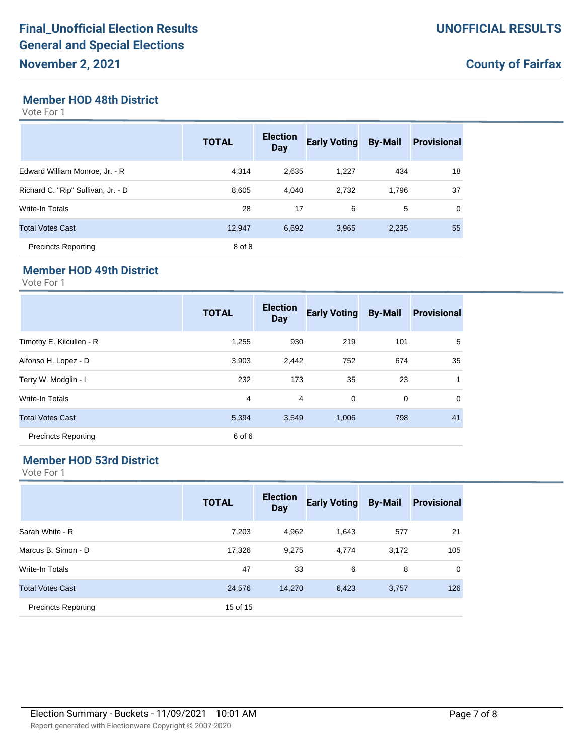## **Member HOD 48th District**

Vote For 1

|                                    | <b>TOTAL</b> | <b>Election</b><br><b>Day</b> | <b>Early Voting</b> | <b>By-Mail</b> | <b>Provisional</b> |
|------------------------------------|--------------|-------------------------------|---------------------|----------------|--------------------|
| Edward William Monroe, Jr. - R     | 4.314        | 2,635                         | 1,227               | 434            | 18                 |
| Richard C. "Rip" Sullivan, Jr. - D | 8,605        | 4.040                         | 2,732               | 1,796          | 37                 |
| <b>Write-In Totals</b>             | 28           | 17                            | 6                   | 5              | 0                  |
| <b>Total Votes Cast</b>            | 12.947       | 6.692                         | 3.965               | 2.235          | 55                 |
| <b>Precincts Reporting</b>         | 8 of 8       |                               |                     |                |                    |

#### **Member HOD 49th District**

Vote For 1

|                            | <b>TOTAL</b> | <b>Election</b><br>Day | <b>Early Voting</b> | <b>By-Mail</b> | <b>Provisional</b> |
|----------------------------|--------------|------------------------|---------------------|----------------|--------------------|
| Timothy E. Kilcullen - R   | 1,255        | 930                    | 219                 | 101            | 5                  |
| Alfonso H. Lopez - D       | 3,903        | 2,442                  | 752                 | 674            | 35                 |
| Terry W. Modglin - I       | 232          | 173                    | 35                  | 23             | 1                  |
| Write-In Totals            | 4            | 4                      | 0                   | 0              | $\mathbf 0$        |
| <b>Total Votes Cast</b>    | 5,394        | 3,549                  | 1,006               | 798            | 41                 |
| <b>Precincts Reporting</b> | 6 of 6       |                        |                     |                |                    |

### **Member HOD 53rd District**

|                            | <b>TOTAL</b> | <b>Election</b><br><b>Day</b> | <b>Early Voting</b> | <b>By-Mail</b> | <b>Provisional</b> |
|----------------------------|--------------|-------------------------------|---------------------|----------------|--------------------|
| Sarah White - R            | 7,203        | 4,962                         | 1,643               | 577            | 21                 |
| Marcus B. Simon - D        | 17,326       | 9,275                         | 4,774               | 3,172          | 105                |
| <b>Write-In Totals</b>     | 47           | 33                            | 6                   | 8              | $\mathbf 0$        |
| <b>Total Votes Cast</b>    | 24,576       | 14,270                        | 6,423               | 3,757          | 126                |
| <b>Precincts Reporting</b> | 15 of 15     |                               |                     |                |                    |